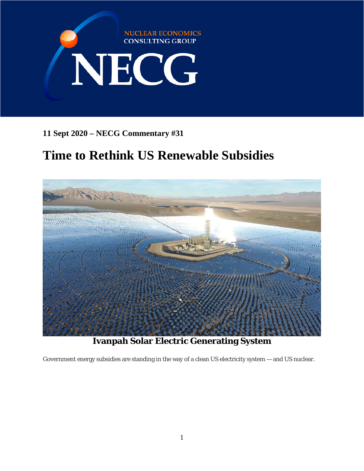

**11 Sept 2020 – NECG Commentary #31**

# **Time to Rethink US Renewable Subsidies**



**Ivanpah Solar Electric Generating System**

Government energy subsidies are standing in the way of a clean US electricity system — and US nuclear.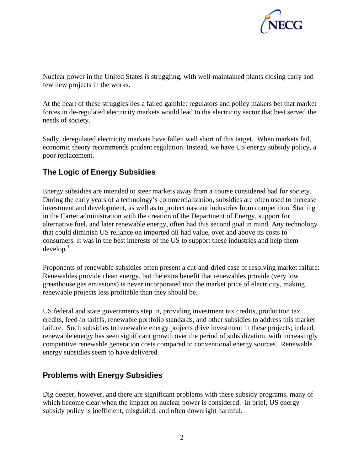

Nuclear power in the United States is struggling, with well-maintained plants closing early and few new projects in the works.

At the heart of these struggles lies a failed gamble: regulators and policy makers bet that market forces in de-regulated electricity markets would lead to the electricity sector that best served the needs of society.

Sadly, deregulated electricity markets have fallen well short of this target. When markets fail, economic theory recommends prudent regulation. Instead, we have US energy subsidy policy, a poor replacement.

#### **The Logic of Energy Subsidies**

Energy subsidies are intended to steer markets away from a course considered bad for society. During the early years of a technology's commercialization, subsidies are often used to increase investment and development, as well as to protect nascent industries from competition. Starting in the Carter administration with the creation of the Department of Energy, support for alternative fuel, and later renewable energy, often had this second goal in mind. Any technology that could diminish US reliance on imported oil had value, over and above its costs to consumers. It was in the best interests of the US to support these industries and help them develop. [1](#page-4-0)

Proponents of renewable subsidies often present a cut-and-dried case of resolving market failure: Renewables provide clean energy, but the extra benefit that renewables provide (very low greenhouse gas emissions) is never incorporated into the market price of electricity, making renewable projects less profitable than they should be.

US federal and state governments step in, providing investment tax credits, production tax credits, feed-in tariffs, renewable portfolio standards, and other subsidies to address this market failure. Such subsidies to renewable energy projects drive investment in these projects; indeed, renewable energy has seen significant growth over the period of subsidization, with increasingly competitive renewable generation costs compared to conventional energy sources. Renewable energy subsidies seem to have delivered.

#### **Problems with Energy Subsidies**

Dig deeper, however, and there are significant problems with these subsidy programs, many of which become clear when the impact on nuclear power is considered. In brief, US energy subsidy policy is inefficient, misguided, and often downright harmful.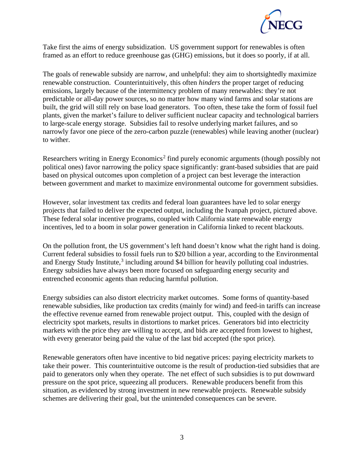

Take first the aims of energy subsidization. US government support for renewables is often framed as an effort to reduce greenhouse gas (GHG) emissions, but it does so poorly, if at all.

The goals of renewable subsidy are narrow, and unhelpful: they aim to shortsightedly maximize renewable construction. Counterintuitively, this often *hinders* the proper target of reducing emissions, largely because of the intermittency problem of many renewables: they're not predictable or all-day power sources, so no matter how many wind farms and solar stations are built, the grid will still rely on base load generators. Too often, these take the form of fossil fuel plants, given the market's failure to deliver sufficient nuclear capacity and technological barriers to large-scale energy storage. Subsidies fail to resolve underlying market failures, and so narrowly favor one piece of the zero-carbon puzzle (renewables) while leaving another (nuclear) to wither.

Researchers writing in Energy Economics<sup>[2](#page-4-1)</sup> find purely economic arguments (though possibly not political ones) favor narrowing the policy space significantly: grant-based subsidies that are paid based on physical outcomes upon completion of a project can best leverage the interaction between government and market to maximize environmental outcome for government subsidies.

However, solar investment tax credits and federal loan guarantees have led to solar energy projects that failed to deliver the expected output, including the Ivanpah project, pictured above. These federal solar incentive programs, coupled with California state renewable energy incentives, led to a boom in solar power generation in California linked to recent blackouts.

On the pollution front, the US government's left hand doesn't know what the right hand is doing. Current federal subsidies to fossil fuels run to \$20 billion a year, according to the Environmental and Energy Study Institute,<sup>[3](#page-4-2)</sup> including around \$4 billion for heavily polluting coal industries. Energy subsidies have always been more focused on safeguarding energy security and entrenched economic agents than reducing harmful pollution.

Energy subsidies can also distort electricity market outcomes. Some forms of quantity-based renewable subsidies, like production tax credits (mainly for wind) and feed-in tariffs can increase the effective revenue earned from renewable project output. This, coupled with the design of electricity spot markets, results in distortions to market prices. Generators bid into electricity markets with the price they are willing to accept, and bids are accepted from lowest to highest, with every generator being paid the value of the last bid accepted (the spot price).

Renewable generators often have incentive to bid negative prices: paying electricity markets to take their power. This counterintuitive outcome is the result of production-tied subsidies that are paid to generators only when they operate. The net effect of such subsidies is to put downward pressure on the spot price, squeezing all producers. Renewable producers benefit from this situation, as evidenced by strong investment in new renewable projects. Renewable subsidy schemes are delivering their goal, but the unintended consequences can be severe.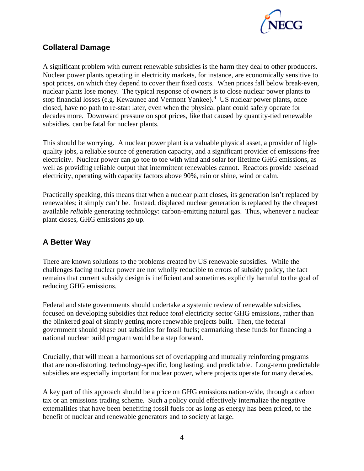

### **Collateral Damage**

A significant problem with current renewable subsidies is the harm they deal to other producers. Nuclear power plants operating in electricity markets, for instance, are economically sensitive to spot prices, on which they depend to cover their fixed costs. When prices fall below break-even, nuclear plants lose money. The typical response of owners is to close nuclear power plants to stop financial losses (e.g. Kewaunee and Vermont Yankee).[4](#page-4-3) US nuclear power plants, once closed, have no path to re-start later, even when the physical plant could safely operate for decades more. Downward pressure on spot prices, like that caused by quantity-tied renewable subsidies, can be fatal for nuclear plants.

This should be worrying. A nuclear power plant is a valuable physical asset, a provider of highquality jobs, a reliable source of generation capacity, and a significant provider of emissions-free electricity. Nuclear power can go toe to toe with wind and solar for lifetime GHG emissions, as well as providing reliable output that intermittent renewables cannot. Reactors provide baseload electricity, operating with capacity factors above 90%, rain or shine, wind or calm.

Practically speaking, this means that when a nuclear plant closes, its generation isn't replaced by renewables; it simply can't be. Instead, displaced nuclear generation is replaced by the cheapest available *reliable* generating technology: carbon-emitting natural gas. Thus, whenever a nuclear plant closes, GHG emissions go up.

## **A Better Way**

There are known solutions to the problems created by US renewable subsidies. While the challenges facing nuclear power are not wholly reducible to errors of subsidy policy, the fact remains that current subsidy design is inefficient and sometimes explicitly harmful to the goal of reducing GHG emissions.

Federal and state governments should undertake a systemic review of renewable subsidies, focused on developing subsidies that reduce *total* electricity sector GHG emissions, rather than the blinkered goal of simply getting more renewable projects built. Then, the federal government should phase out subsidies for fossil fuels; earmarking these funds for financing a national nuclear build program would be a step forward.

Crucially, that will mean a harmonious set of overlapping and mutually reinforcing programs that are non-distorting, technology-specific, long lasting, and predictable. Long-term predictable subsidies are especially important for nuclear power, where projects operate for many decades.

A key part of this approach should be a price on GHG emissions nation-wide, through a carbon tax or an emissions trading scheme. Such a policy could effectively internalize the negative externalities that have been benefiting fossil fuels for as long as energy has been priced, to the benefit of nuclear and renewable generators and to society at large.